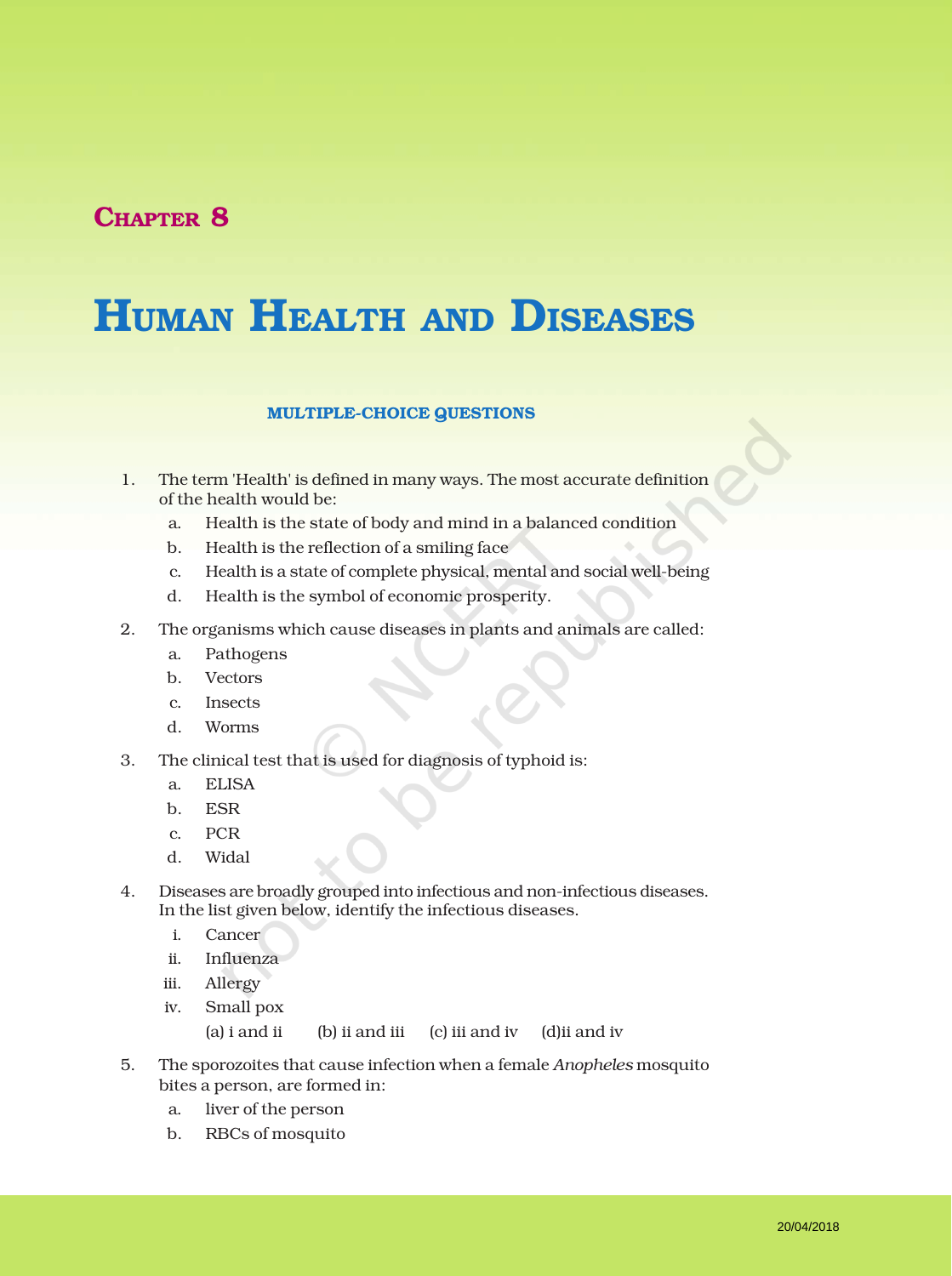## CHAPTER 8

# HUMAN HEALTH AND DISEASES

#### MULTIPLE-CHOICE QUESTIONS

- 1. The term 'Health' is defined in many ways. The most accurate definition of the health would be:
	- a. Health is the state of body and mind in a balanced condition
	- b. Health is the reflection of a smiling face
	- c. Health is a state of complete physical, mental and social well-being
	- d. Health is the symbol of economic prosperity.
- 2. The organisms which cause diseases in plants and animals are called:
	- a. Pathogens
	- b. Vectors
	- c. Insects
	- d. Worms
- 3. The clinical test that is used for diagnosis of typhoid is:
	- a. ELISA
	- b. ESR
	- c. PCR
	- d. Widal
- 4. Diseases are broadly grouped into infectious and non-infectious diseases. In the list given below, identify the infectious diseases.
	- i. Cancer
	- ii. Influenza
	- iii. Allergy
	- iv. Small pox (a) i and ii (b) ii and iii (c) iii and iv (d)ii and iv
- 5. The sporozoites that cause infection when a female *Anopheles* mosquito bites a person, are formed in:
	- a. liver of the person
	- b. RBCs of mosquito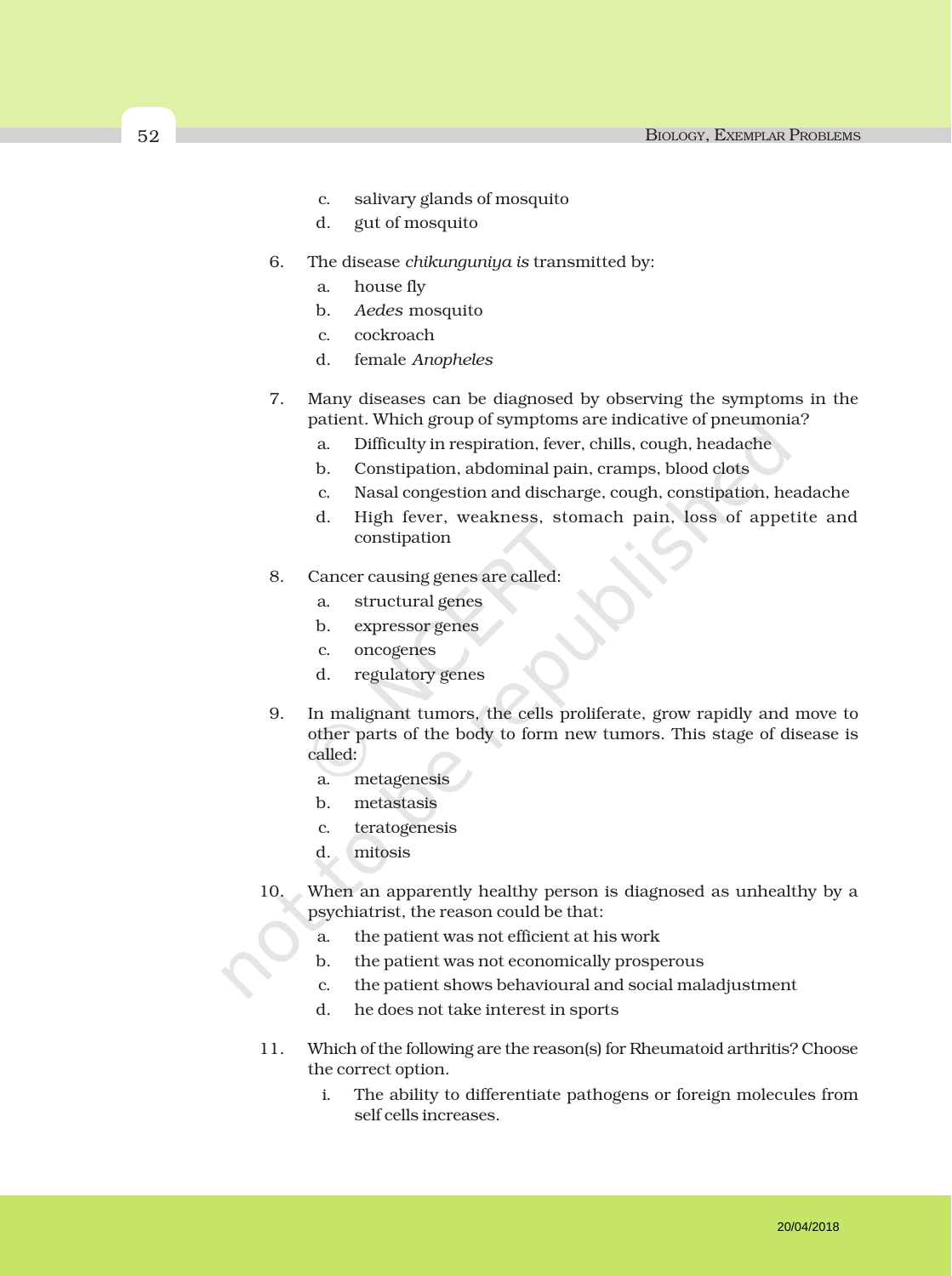- c. salivary glands of mosquito
- d. gut of mosquito
- 6. The disease *chikunguniya is* transmitted by:
	- a. house fly
	- b. *Aedes* mosquito
	- c. cockroach
	- d. female *Anopheles*
- 7. Many diseases can be diagnosed by observing the symptoms in the patient. Which group of symptoms are indicative of pneumonia?
	- a. Difficulty in respiration, fever, chills, cough, headache
	- b. Constipation, abdominal pain, cramps, blood clots
	- c. Nasal congestion and discharge, cough, constipation, headache
	- d. High fever, weakness, stomach pain, loss of appetite and constipation
- 8. Cancer causing genes are called:
	- a. structural genes
	- b. expressor genes
	- c. oncogenes
	- d. regulatory genes
- 9. In malignant tumors, the cells proliferate, grow rapidly and move to other parts of the body to form new tumors. This stage of disease is called:
	- a. metagenesis
	- b. metastasis
	- c. teratogenesis
	- d. mitosis
- 10. When an apparently healthy person is diagnosed as unhealthy by a psychiatrist, the reason could be that:
	- a. the patient was not efficient at his work
	- b. the patient was not economically prosperous
	- c. the patient shows behavioural and social maladjustment
	- d. he does not take interest in sports
- 11. Which of the following are the reason(s) for Rheumatoid arthritis? Choose the correct option.
	- i. The ability to differentiate pathogens or foreign molecules from self cells increases.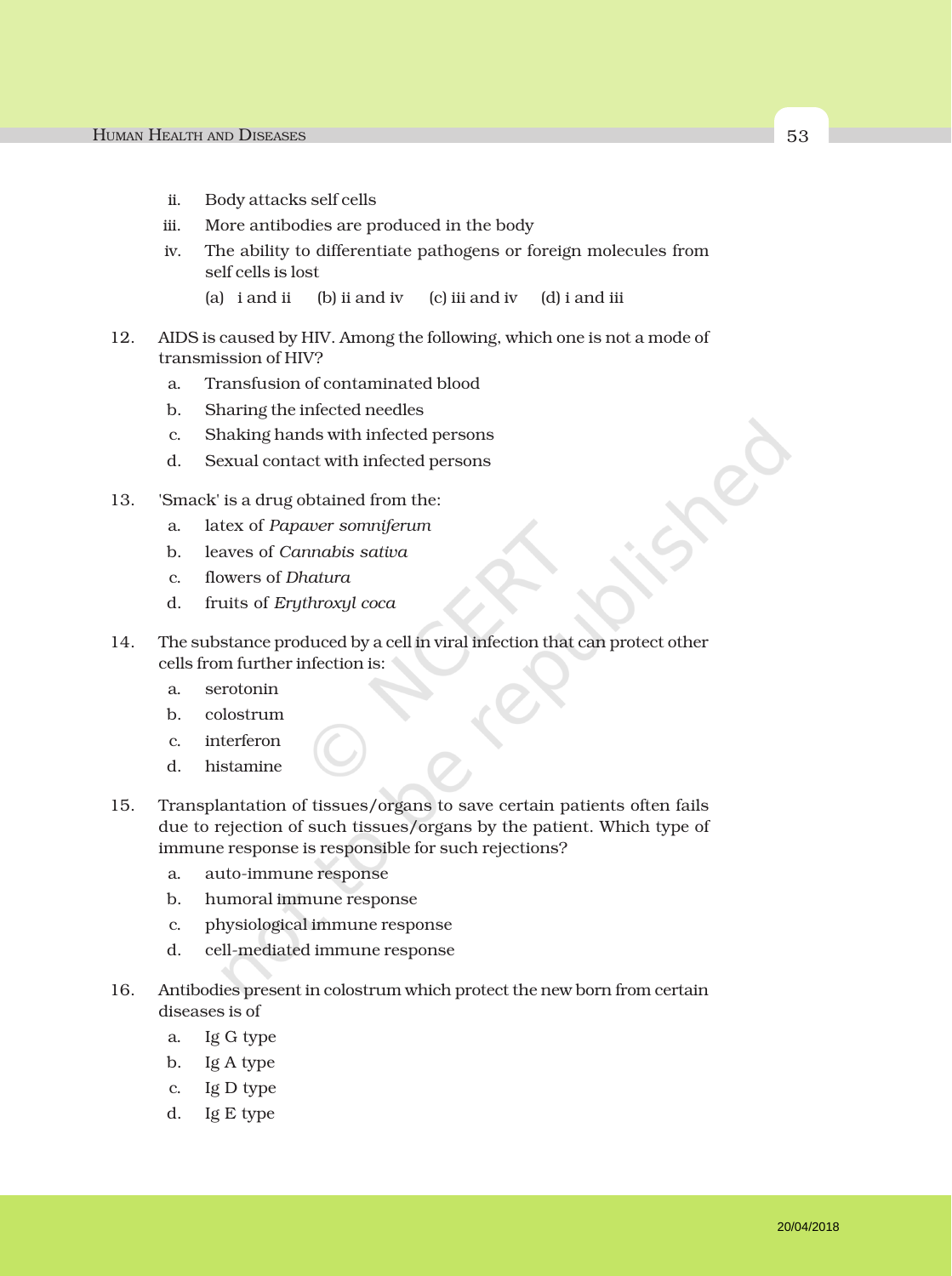- ii. Body attacks self cells
- iii. More antibodies are produced in the body
- iv. The ability to differentiate pathogens or foreign molecules from self cells is lost
	- (a) i and ii (b) ii and iv (c) iii and iv (d) i and iii
- 12. AIDS is caused by HIV. Among the following, which one is not a mode of transmission of HIV?
	- a. Transfusion of contaminated blood
	- b. Sharing the infected needles
	- c. Shaking hands with infected persons
	- d. Sexual contact with infected persons
- 13. 'Smack' is a drug obtained from the:
	- a. latex of *Papaver somniferum*
	- b. leaves of *Cannabis sativa*
	- c. flowers of *Dhatura*
	- d. fruits of *Erythroxyl coca*
- 14. The substance produced by a cell in viral infection that can protect other cells from further infection is:
	- a. serotonin
	- b. colostrum
	- c. interferon
	- d. histamine
- 15. Transplantation of tissues/organs to save certain patients often fails due to rejection of such tissues/organs by the patient. Which type of immune response is responsible for such rejections?
	- a. auto-immune response
	- b. humoral immune response
	- c. physiological immune response
	- d. cell-mediated immune response
- 16. Antibodies present in colostrum which protect the new born from certain diseases is of
	- a. Ig G type
	- b. Ig A type
	- c. Ig D type
	- d. Ig E type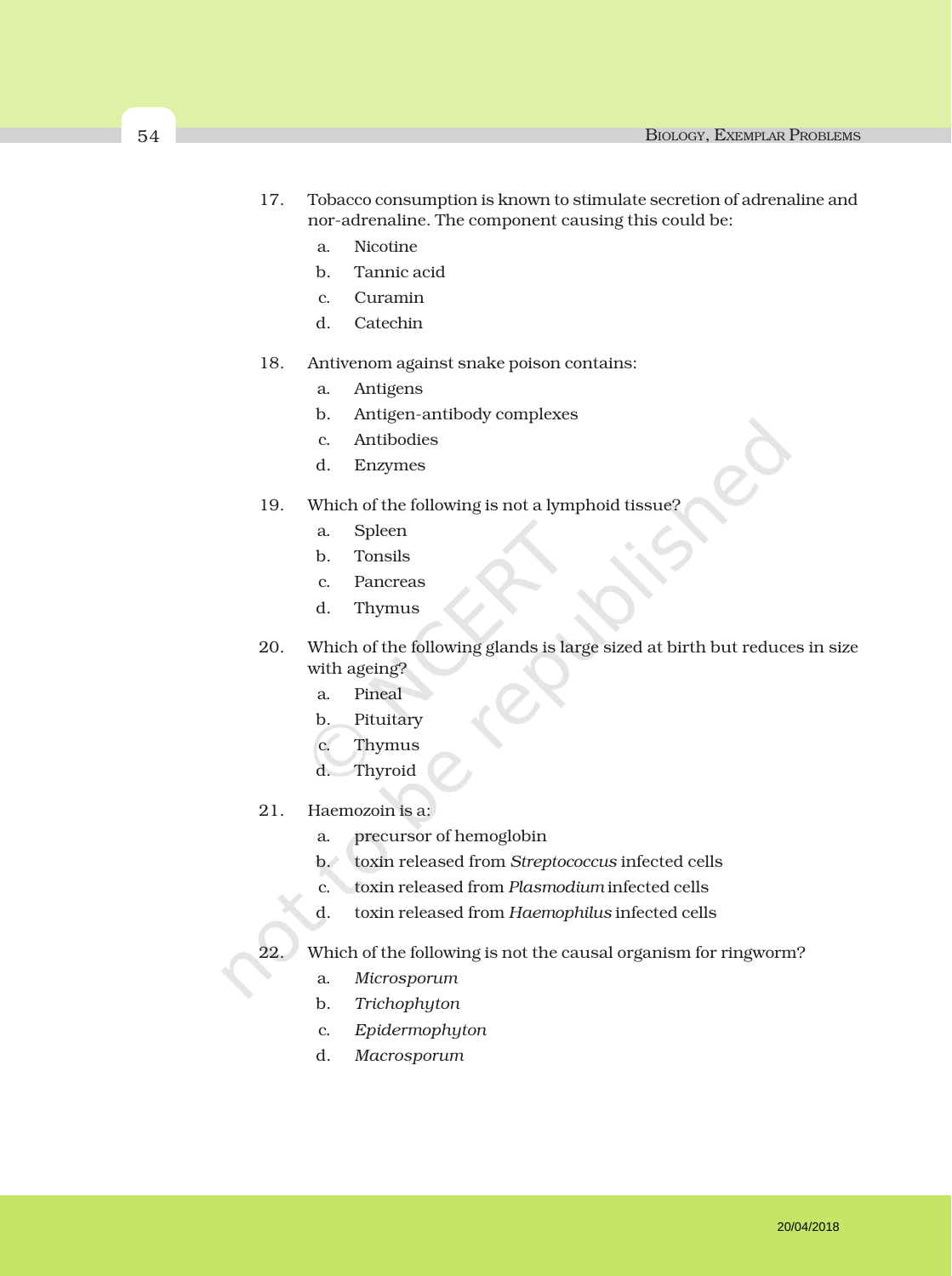- 17. Tobacco consumption is known to stimulate secretion of adrenaline and nor-adrenaline. The component causing this could be:
	- a. Nicotine
	- b. Tannic acid
	- c. Curamin
	- d. Catechin
- 18. Antivenom against snake poison contains:
	- a. Antigens
	- b. Antigen-antibody complexes
	- c. Antibodies
	- d. Enzymes
- 19. Which of the following is not a lymphoid tissue?
	- a. Spleen
	- b. Tonsils
	- c. Pancreas
	- d. Thymus
- 20. Which of the following glands is large sized at birth but reduces in size with ageing?
	- a. Pineal
	- b. Pituitary
	- c. Thymus
	- d. Thyroid
- 21. Haemozoin is a:
	- a. precursor of hemoglobin
	- b. toxin released from *Streptococcus* infected cells
	- c. toxin released from *Plasmodium* infected cells
	- d. toxin released from *Haemophilus* infected cells
- 22. Which of the following is not the causal organism for ringworm?
	- a. *Microsporum*
	- b. *Trichophyton*
	- c. *Epidermophyton*
	- d. *Macrosporum*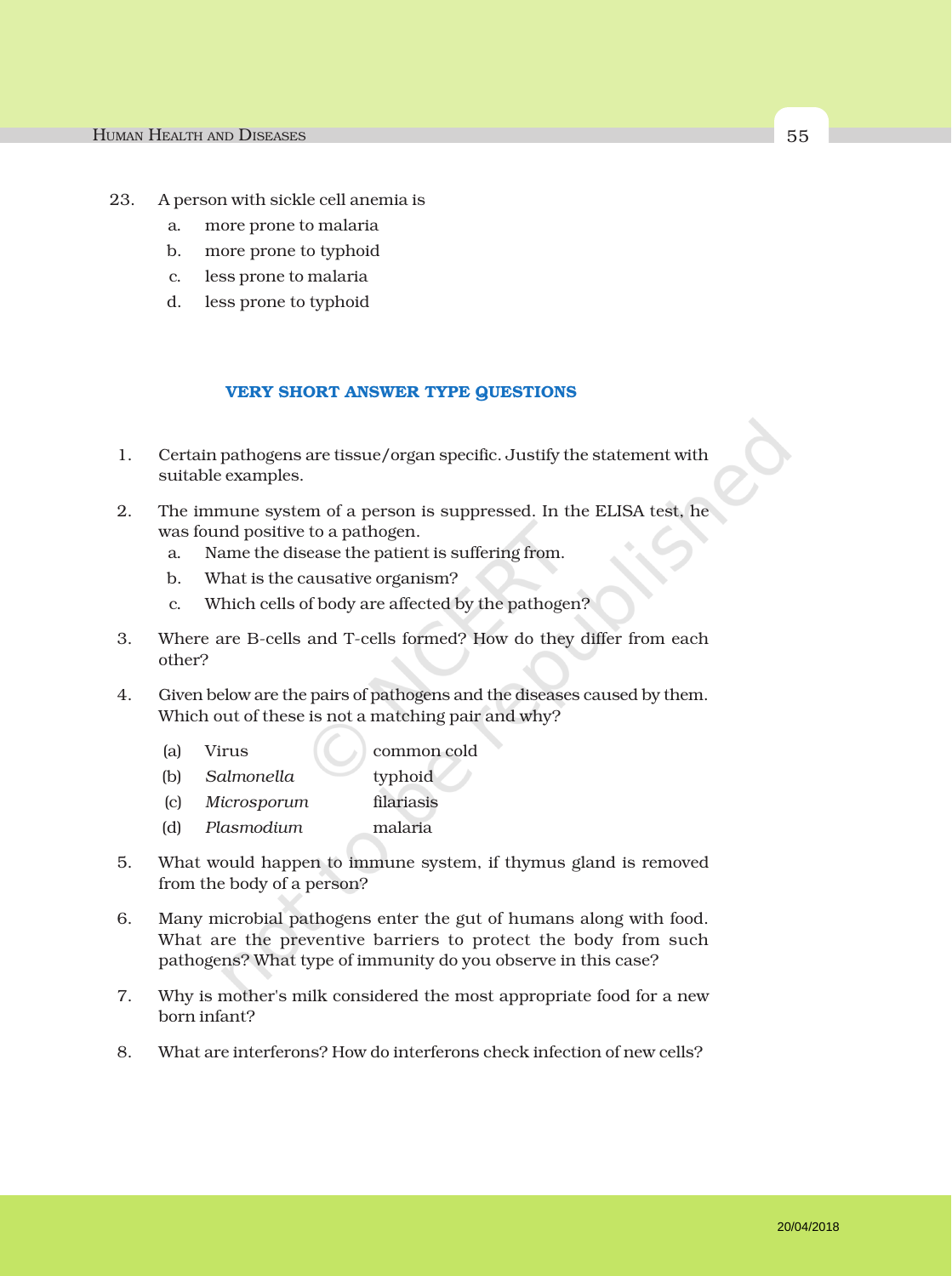- 23. A person with sickle cell anemia is
	- a. more prone to malaria
	- b. more prone to typhoid
	- c. less prone to malaria
	- d. less prone to typhoid

#### VERY SHORT ANSWER TYPE QUESTIONS

- 1. Certain pathogens are tissue/organ specific. Justify the statement with suitable examples.
- 2. The immune system of a person is suppressed. In the ELISA test, he was found positive to a pathogen.
	- a. Name the disease the patient is suffering from.
	- b. What is the causative organism?
	- c. Which cells of body are affected by the pathogen?
- 3. Where are B-cells and T-cells formed? How do they differ from each other?
- 4. Given below are the pairs of pathogens and the diseases caused by them. Which out of these is not a matching pair and why?
	- (a) Virus (common cold
	- (b) *Salmonella* typhoid
	- (c) *Microsporum* filariasis
	- (d) *Plasmodium* malaria
- 5. What would happen to immune system, if thymus gland is removed from the body of a person?
- 6. Many microbial pathogens enter the gut of humans along with food. What are the preventive barriers to protect the body from such pathogens? What type of immunity do you observe in this case?
- 7. Why is mother's milk considered the most appropriate food for a new born infant?
- 8. What are interferons? How do interferons check infection of new cells?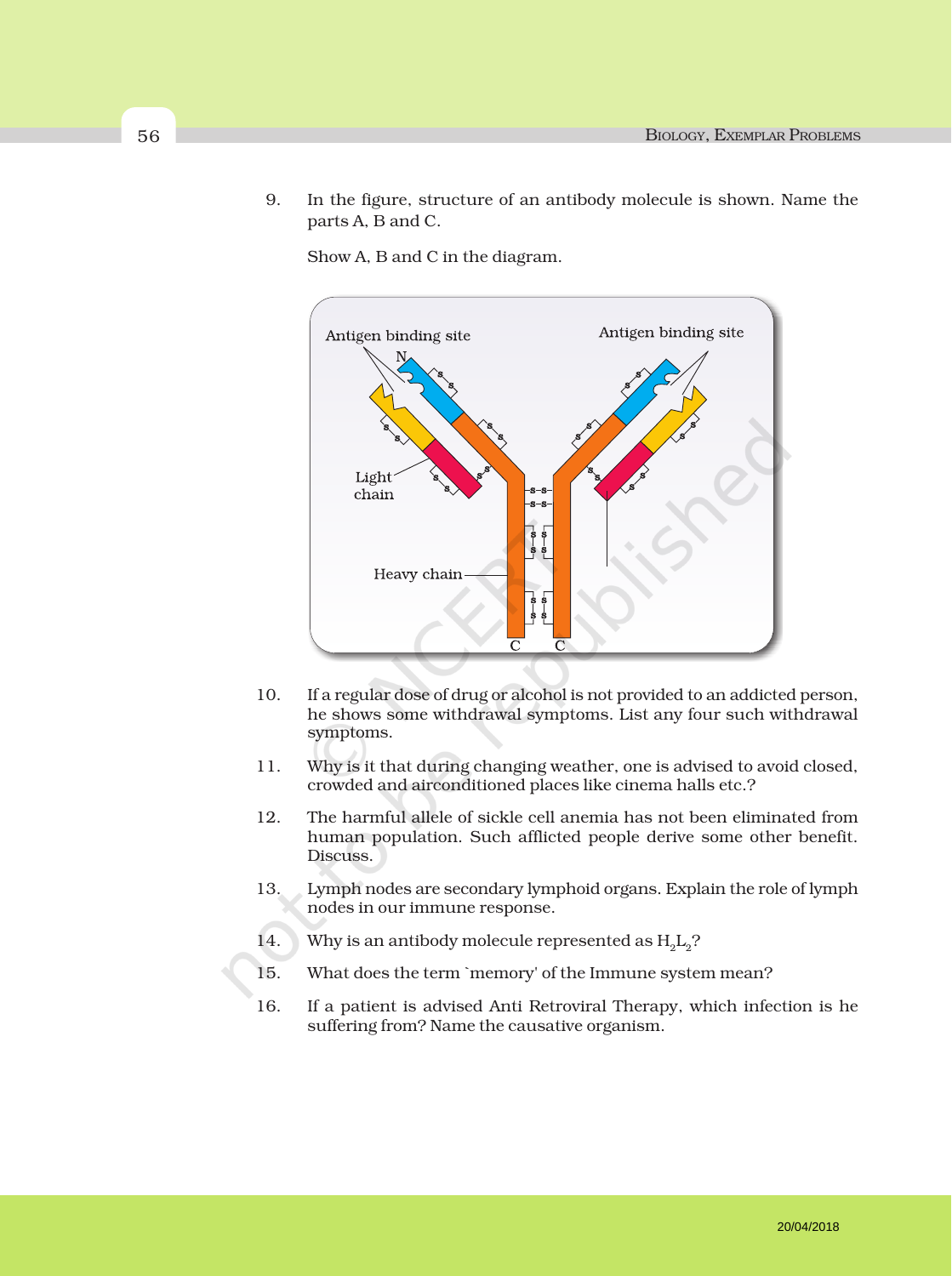9. In the figure, structure of an antibody molecule is shown. Name the parts A, B and C.

Show A, B and C in the diagram.



- 10. If a regular dose of drug or alcohol is not provided to an addicted person, he shows some withdrawal symptoms. List any four such withdrawal symptoms.
- 11. Why is it that during changing weather, one is advised to avoid closed, crowded and airconditioned places like cinema halls etc.?
- 12. The harmful allele of sickle cell anemia has not been eliminated from human population. Such afflicted people derive some other benefit. Discuss.
- 13. Lymph nodes are secondary lymphoid organs. Explain the role of lymph nodes in our immune response.
- 14. Why is an antibody molecule represented as  $H_1L_2$ ?
- 15. What does the term `memory' of the Immune system mean?
- 16. If a patient is advised Anti Retroviral Therapy, which infection is he suffering from? Name the causative organism.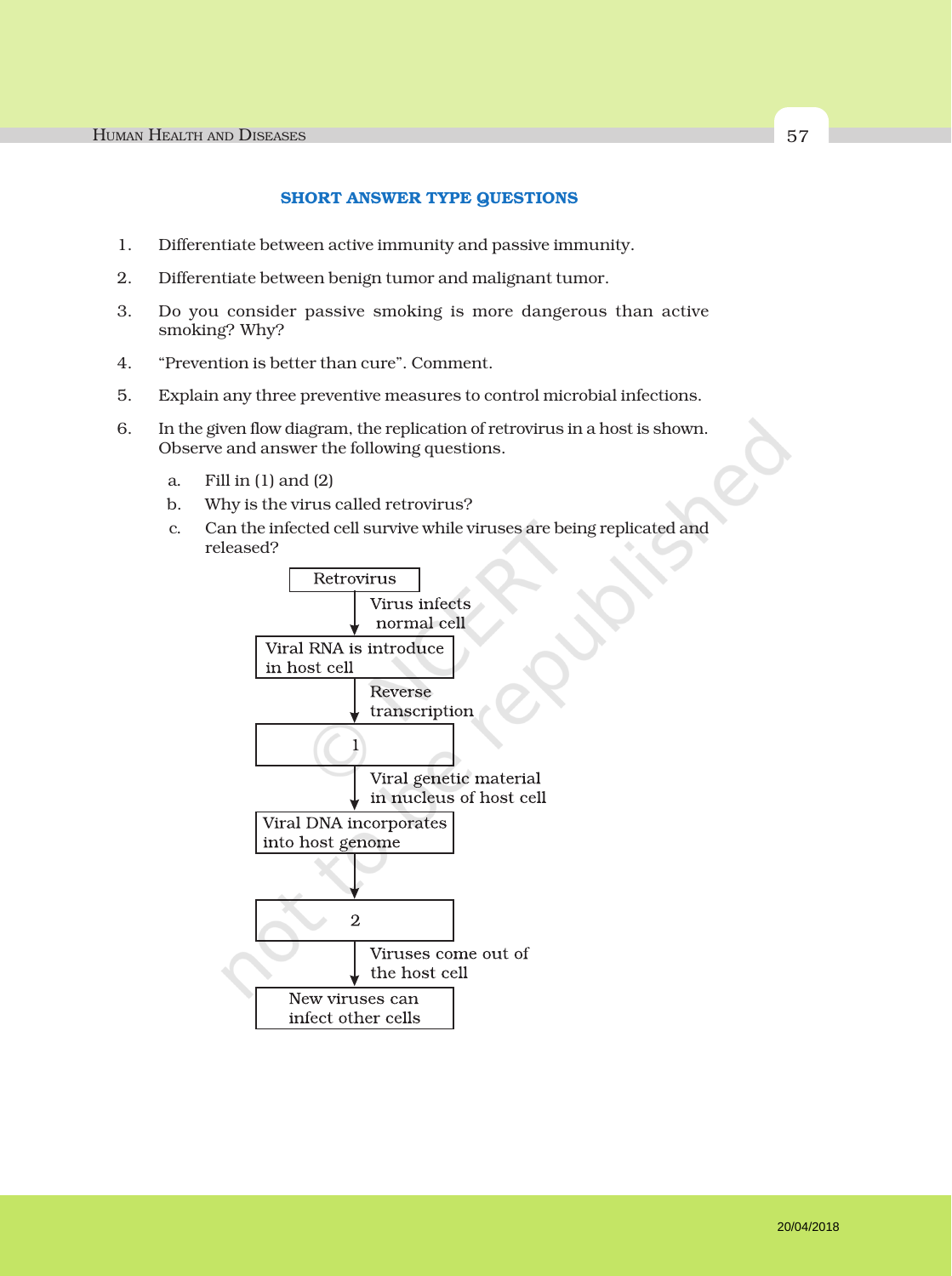#### SHORT ANSWER TYPE QUESTIONS

- 1. Differentiate between active immunity and passive immunity.
- 2. Differentiate between benign tumor and malignant tumor.
- 3. Do you consider passive smoking is more dangerous than active smoking? Why?
- 4. "Prevention is better than cure". Comment.
- 5. Explain any three preventive measures to control microbial infections.
- 6. In the given flow diagram, the replication of retrovirus in a host is shown. Observe and answer the following questions.
	- a. Fill in (1) and (2)
	- b. Why is the virus called retrovirus?
	- c. Can the infected cell survive while viruses are being replicated and released?

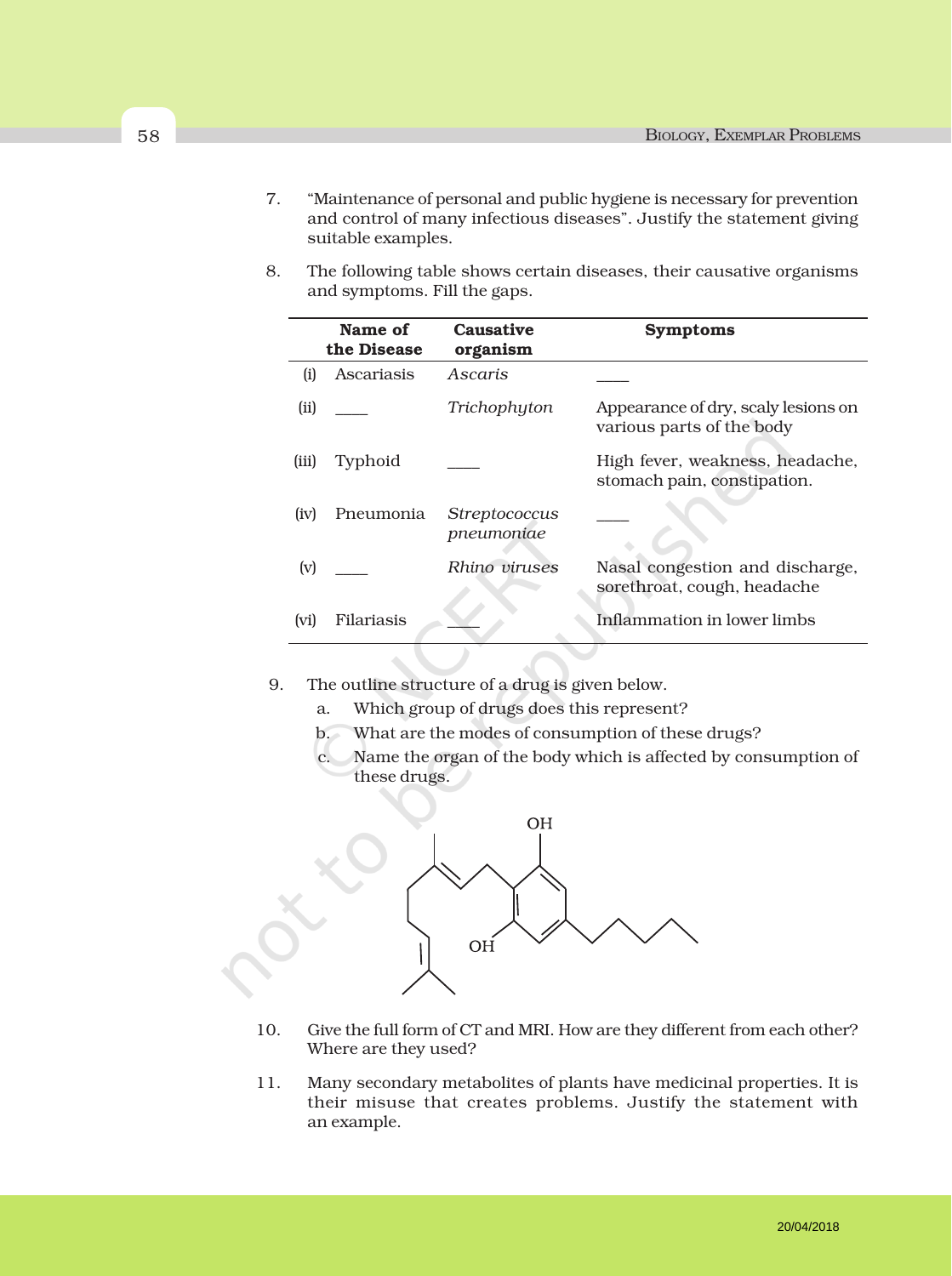- 7. "Maintenance of personal and public hygiene is necessary for prevention and control of many infectious diseases". Justify the statement giving suitable examples.
- 8. The following table shows certain diseases, their causative organisms and symptoms. Fill the gaps.

|       | Name of<br>the Disease | <b>Causative</b><br>organism       | <b>Symptoms</b>                                                  |
|-------|------------------------|------------------------------------|------------------------------------------------------------------|
| (i)   | Ascariasis             | Ascaris                            |                                                                  |
| (ii)  |                        | Trichophyton                       | Appearance of dry, scaly lesions on<br>various parts of the body |
| (iii) | Typhoid                |                                    | High fever, weakness, headache,<br>stomach pain, constipation.   |
| (iv)  | Pneumonia              | <i>Streptococcus</i><br>pneumoniae |                                                                  |
| (v)   |                        | Rhino viruses                      | Nasal congestion and discharge,<br>sorethroat, cough, headache   |
| (vi)  | Filariasis             |                                    | Inflammation in lower limbs                                      |
|       |                        |                                    |                                                                  |

- 9. The outline structure of a drug is given below.
	- a. Which group of drugs does this represent?
	- b. What are the modes of consumption of these drugs?
	- c. Name the organ of the body which is affected by consumption of these drugs.



- 10. Give the full form of CT and MRI. How are they different from each other? Where are they used?
- 11. Many secondary metabolites of plants have medicinal properties. It is their misuse that creates problems. Justify the statement with an example.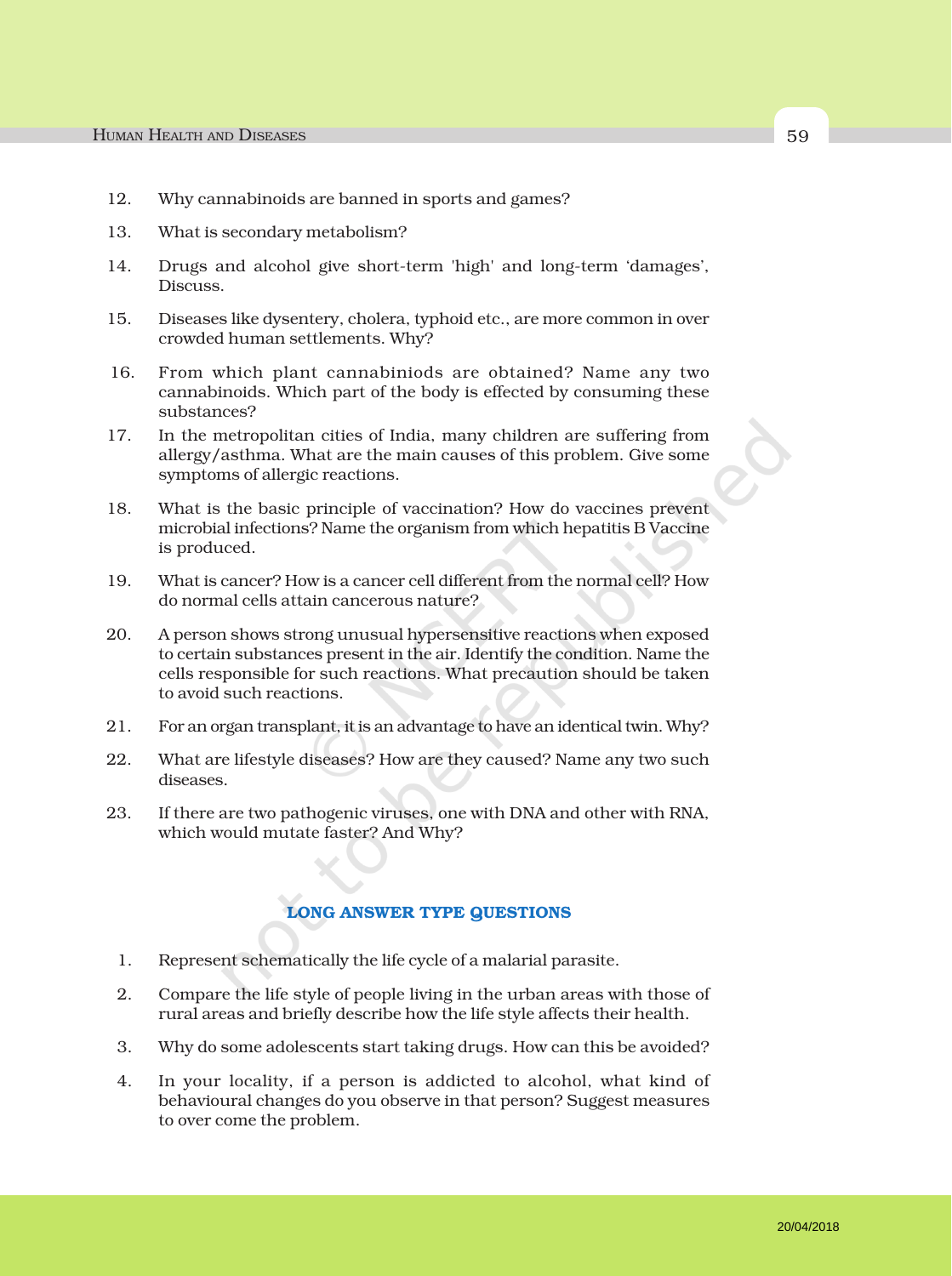- 12. Why cannabinoids are banned in sports and games?
- 13. What is secondary metabolism?
- 14. Drugs and alcohol give short-term 'high' and long-term 'damages', Discuss.
- 15. Diseases like dysentery, cholera, typhoid etc., are more common in over crowded human settlements. Why?
- 16. From which plant cannabiniods are obtained? Name any two cannabinoids. Which part of the body is effected by consuming these substances?
- 17. In the metropolitan cities of India, many children are suffering from allergy/asthma. What are the main causes of this problem. Give some symptoms of allergic reactions.
- 18. What is the basic principle of vaccination? How do vaccines prevent microbial infections? Name the organism from which hepatitis B Vaccine is produced.
- 19. What is cancer? How is a cancer cell different from the normal cell? How do normal cells attain cancerous nature?
- 20. A person shows strong unusual hypersensitive reactions when exposed to certain substances present in the air. Identify the condition. Name the cells responsible for such reactions. What precaution should be taken to avoid such reactions.
- 21. For an organ transplant, it is an advantage to have an identical twin. Why?
- 22. What are lifestyle diseases? How are they caused? Name any two such diseases.
- 23. If there are two pathogenic viruses, one with DNA and other with RNA, which would mutate faster? And Why?

### LONG ANSWER TYPE QUESTIONS

- 1. Represent schematically the life cycle of a malarial parasite.
- 2. Compare the life style of people living in the urban areas with those of rural areas and briefly describe how the life style affects their health.
- 3. Why do some adolescents start taking drugs. How can this be avoided?
- 4. In your locality, if a person is addicted to alcohol, what kind of behavioural changes do you observe in that person? Suggest measures to over come the problem.